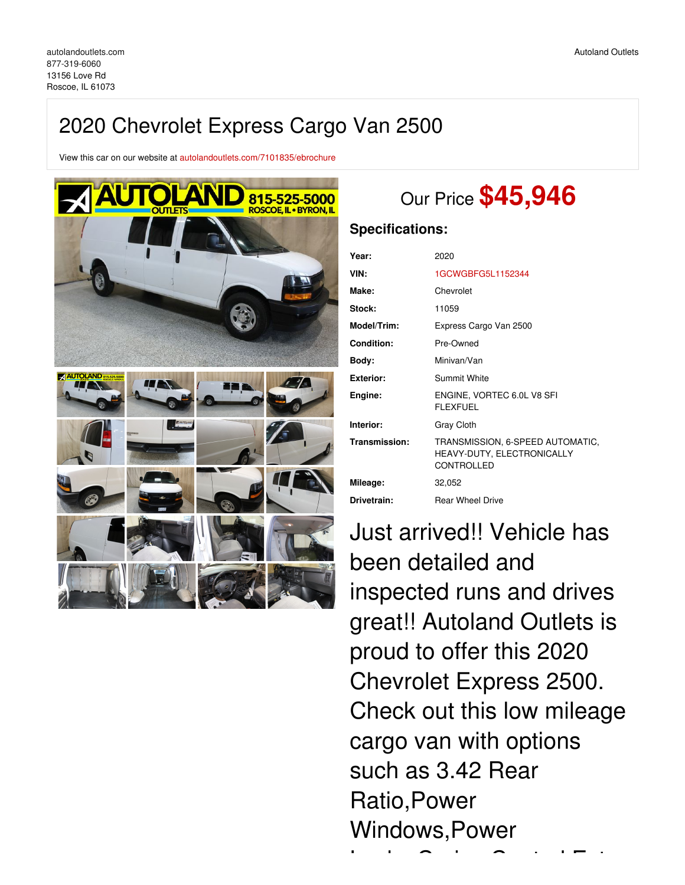## 2020 Chevrolet Express Cargo Van 2500

View this car on our website at [autolandoutlets.com/7101835/ebrochure](https://autolandoutlets.com/vehicle/7101835/2020-chevrolet-express-cargo-van-2500-roscoe-il-61073/7101835/ebrochure)



# Our Price **\$45,946**

### **Specifications:**

| 2020                                                                         |
|------------------------------------------------------------------------------|
| 1GCWGBFG5L1152344                                                            |
| Chevrolet                                                                    |
| 11059                                                                        |
| Express Cargo Van 2500                                                       |
| Pre-Owned                                                                    |
| Minivan/Van                                                                  |
| <b>Summit White</b>                                                          |
| ENGINE, VORTEC 6.0L V8 SFI<br><b>FLEXFUEL</b>                                |
| Gray Cloth                                                                   |
| TRANSMISSION, 6-SPEED AUTOMATIC,<br>HEAVY-DUTY, ELECTRONICALLY<br>CONTROLLED |
| 32,052                                                                       |
| <b>Rear Wheel Drive</b>                                                      |
|                                                                              |

Just arrived!! Vehicle has been detailed and inspected runs and drives great!! Autoland Outlets is proud to offer this 2020 Chevrolet Express 2500. Check out this low mileage cargo van with options such as 3.42 Rear Ratio,Power Windows,Power

Locks,Cruise Control,Extra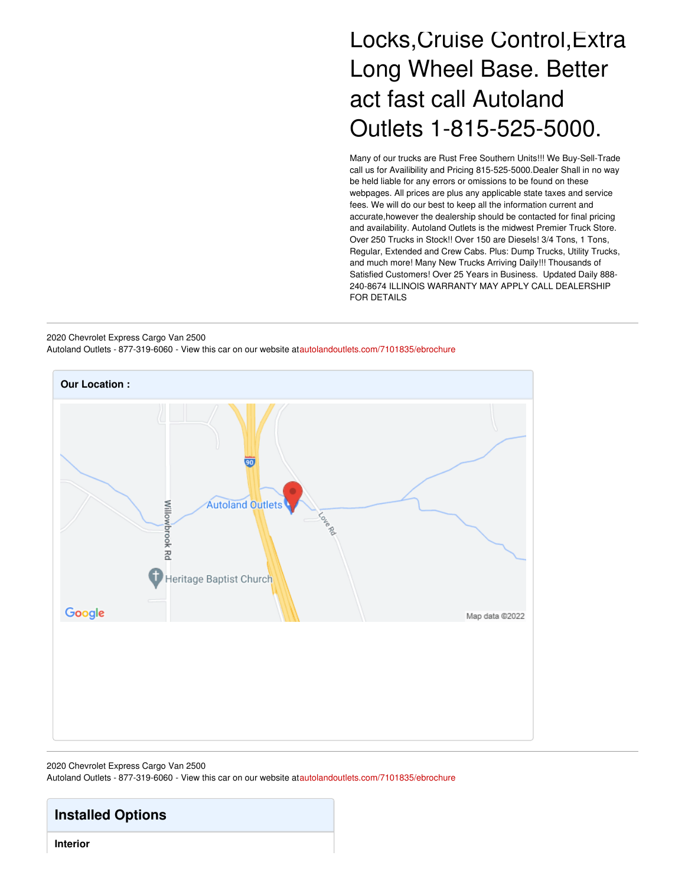# Locks,Cruise Control,Extra Long Wheel Base. Better act fast call Autoland Outlets 1-815-525-5000.

Many of our trucks are Rust Free Southern Units!!! We Buy-Sell-Trade call us for Availibility and Pricing 815-525-5000.Dealer Shall in no way be held liable for any errors or omissions to be found on these webpages. All prices are plus any applicable state taxes and service fees. We will do our best to keep all the information current and accurate,however the dealership should be contacted for final pricing and availability. Autoland Outlets is the midwest Premier Truck Store. Over 250 Trucks in Stock!! Over 150 are Diesels! 3/4 Tons, 1 Tons, Regular, Extended and Crew Cabs. Plus: Dump Trucks, Utility Trucks, and much more! Many New Trucks Arriving Daily!!! Thousands of Satisfied Customers! Over 25 Years in Business. Updated Daily 888- 240-8674 ILLINOIS WARRANTY MAY APPLY CALL DEALERSHIP FOR DETAILS

2020 Chevrolet Express Cargo Van 2500 Autoland Outlets - 877-319-6060 - View this car on our website at[autolandoutlets.com/7101835/ebrochure](https://autolandoutlets.com/vehicle/7101835/2020-chevrolet-express-cargo-van-2500-roscoe-il-61073/7101835/ebrochure)



#### 2020 Chevrolet Express Cargo Van 2500

Autoland Outlets - 877-319-6060 - View this car on our website at[autolandoutlets.com/7101835/ebrochure](https://autolandoutlets.com/vehicle/7101835/2020-chevrolet-express-cargo-van-2500-roscoe-il-61073/7101835/ebrochure)

### **Installed Options**

**Interior**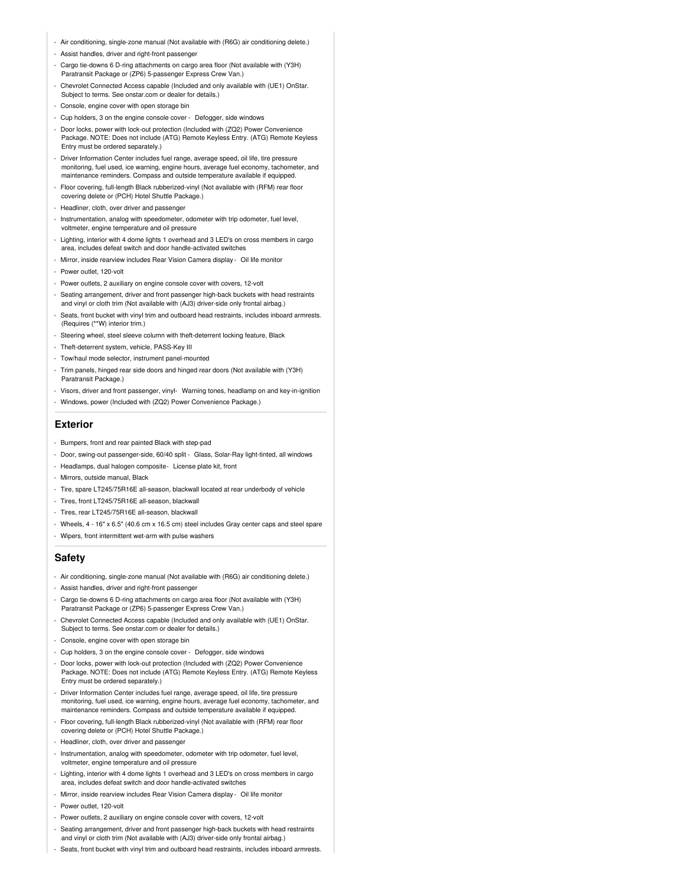- Air conditioning, single-zone manual (Not available with (R6G) air conditioning delete.)
- Assist handles, driver and right-front passenger
- Cargo tie-downs 6 D-ring attachments on cargo area floor (Not available with (Y3H) Paratransit Package or (ZP6) 5-passenger Express Crew Van.)
- Chevrolet Connected Access capable (Included and only available with (UE1) OnStar. Subject to terms. See onstar.com or dealer for details.)
- Console, engine cover with open storage bin
- Cup holders, 3 on the engine console cover Defogger, side windows
- Door locks, power with lock-out protection (Included with (ZQ2) Power Convenience Package. NOTE: Does not include (ATG) Remote Keyless Entry. (ATG) Remote Keyless Entry must be ordered separately.)
- Driver Information Center includes fuel range, average speed, oil life, tire pressure monitoring, fuel used, ice warning, engine hours, average fuel economy, tachometer, and maintenance reminders. Compass and outside temperature available if equipped.
- Floor covering, full-length Black rubberized-vinyl (Not available with (RFM) rear floor covering delete or (PCH) Hotel Shuttle Package.)
- Headliner, cloth, over driver and passenger
- Instrumentation, analog with speedometer, odometer with trip odometer, fuel level, voltmeter, engine temperature and oil pressure
- Lighting, interior with 4 dome lights 1 overhead and 3 LED's on cross members in cargo area, includes defeat switch and door handle-activated switches
- Mirror, inside rearview includes Rear Vision Camera display Oil life monitor
- Power outlet, 120-volt
- Power outlets, 2 auxiliary on engine console cover with covers, 12-volt
- Seating arrangement, driver and front passenger high-back buckets with head restraints and vinyl or cloth trim (Not available with (AJ3) driver-side only frontal airbag.)
- Seats, front bucket with vinyl trim and outboard head restraints, includes inboard armrests. (Requires (\*\*W) interior trim.)
- Steering wheel, steel sleeve column with theft-deterrent locking feature, Black
- Theft-deterrent system, vehicle, PASS-Key III
- Tow/haul mode selector, instrument panel-mounted
- Trim panels, hinged rear side doors and hinged rear doors (Not available with (Y3H) Paratransit Package.)
- Visors, driver and front passenger, vinyl- Warning tones, headlamp on and key-in-ignition
- Windows, power (Included with (ZQ2) Power Convenience Package.)

#### **Exterior**

- Bumpers, front and rear painted Black with step-pad
- Door, swing-out passenger-side, 60/40 split Glass, Solar-Ray light-tinted, all windows
- Headlamps, dual halogen composite- License plate kit, front
- Mirrors, outside manual, Black
- Tire, spare LT245/75R16E all-season, blackwall located at rear underbody of vehicle
- Tires, front LT245/75R16E all-season, blackwall
- Tires, rear LT245/75R16E all-season, blackwall
- Wheels, 4 16" x 6.5" (40.6 cm x 16.5 cm) steel includes Gray center caps and steel spare
- Wipers, front intermittent wet-arm with pulse washers

#### **Safety**

- Air conditioning, single-zone manual (Not available with (R6G) air conditioning delete.)
- Assist handles, driver and right-front passenger
- Cargo tie-downs 6 D-ring attachments on cargo area floor (Not available with (Y3H) Paratransit Package or (ZP6) 5-passenger Express Crew Van.)
- Chevrolet Connected Access capable (Included and only available with (UE1) OnStar. Subject to terms. See onstar.com or dealer for details.)
- Console, engine cover with open storage bin
- Cup holders, 3 on the engine console cover Defogger, side windows
- Door locks, power with lock-out protection (Included with (ZQ2) Power Convenience Package. NOTE: Does not include (ATG) Remote Keyless Entry. (ATG) Remote Keyless Entry must be ordered separately.)
- Driver Information Center includes fuel range, average speed, oil life, tire pressure monitoring, fuel used, ice warning, engine hours, average fuel economy, tachometer, and maintenance reminders. Compass and outside temperature available if equipped.
- Floor covering, full-length Black rubberized-vinyl (Not available with (RFM) rear floor covering delete or (PCH) Hotel Shuttle Package.)
- Headliner, cloth, over driver and passenger
- Instrumentation, analog with speedometer, odometer with trip odometer, fuel level, voltmeter, engine temperature and oil pressure
- Lighting, interior with 4 dome lights 1 overhead and 3 LED's on cross members in cargo area, includes defeat switch and door handle-activated switches
- Mirror, inside rearview includes Rear Vision Camera display Oil life monitor
- Power outlet, 120-volt
- Power outlets, 2 auxiliary on engine console cover with covers, 12-volt
- Seating arrangement, driver and front passenger high-back buckets with head restraints and vinyl or cloth trim (Not available with (AJ3) driver-side only frontal airbag.)
- Seats, front bucket with vinyl trim and outboard head restraints, includes inboard armrests.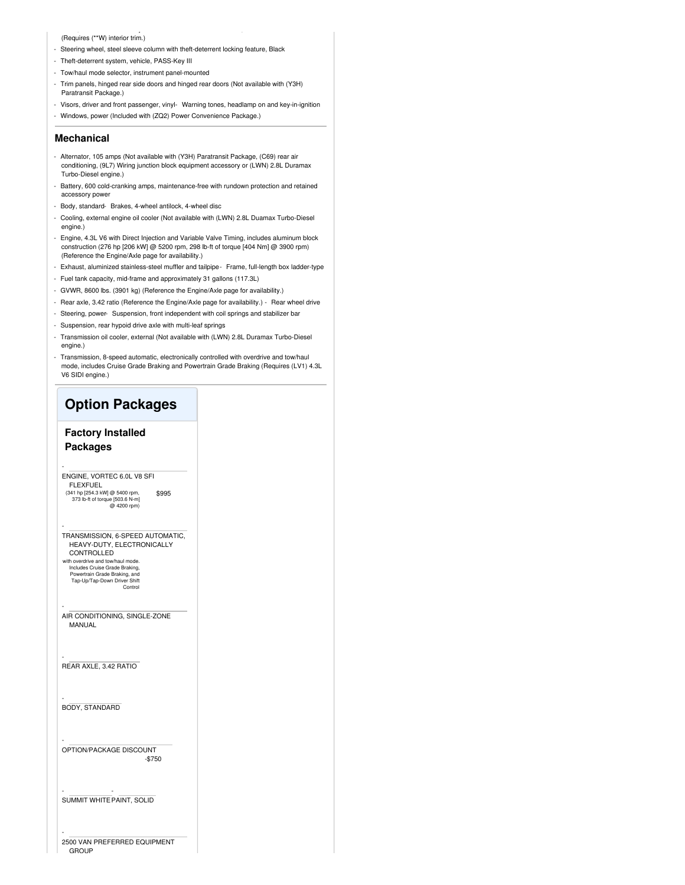#### (Requires (\*\*W) interior trim.)

- Steering wheel, steel sleeve column with theft-deterrent locking feature, Black
- Theft-deterrent system, vehicle, PASS-Key III
- Tow/haul mode selector, instrument panel-mounted
- Trim panels, hinged rear side doors and hinged rear doors (Not available with (Y3H) Paratransit Package.)
- Visors, driver and front passenger, vinyl- Warning tones, headlamp on and key-in-ignition - Windows, power (Included with (ZQ2) Power Convenience Package.)

- Seats, front bucket with vinyl trim and outboard head restraints, includes inboard armrests.

#### **Mechanical**

- Alternator, 105 amps (Not available with (Y3H) Paratransit Package, (C69) rear air conditioning, (9L7) Wiring junction block equipment accessory or (LWN) 2.8L Duramax Turbo-Diesel engine.)
- Battery, 600 cold-cranking amps, maintenance-free with rundown protection and retained accessory power
- Body, standard- Brakes, 4-wheel antilock, 4-wheel disc
- Cooling, external engine oil cooler (Not available with (LWN) 2.8L Duamax Turbo-Diesel engine.)
- Engine, 4.3L V6 with Direct Injection and Variable Valve Timing, includes aluminum block construction (276 hp [206 kW] @ 5200 rpm, 298 lb-ft of torque [404 Nm] @ 3900 rpm) (Reference the Engine/Axle page for availability.)
- Exhaust, aluminized stainless-steel muffler and tailpipe- Frame, full-length box ladder-type
- Fuel tank capacity, mid-frame and approximately 31 gallons (117.3L)
- GVWR, 8600 lbs. (3901 kg) (Reference the Engine/Axle page for availability.)
- Rear axle, 3.42 ratio (Reference the Engine/Axle page for availability.) Rear wheel drive
- Steering, power- Suspension, front independent with coil springs and stabilizer bar
- Suspension, rear hypoid drive axle with multi-leaf springs
- Transmission oil cooler, external (Not available with (LWN) 2.8L Duramax Turbo-Diesel engine.)
- Transmission, 8-speed automatic, electronically controlled with overdrive and tow/haul mode, includes Cruise Grade Braking and Powertrain Grade Braking (Requires (LV1) 4.3L V6 SIDI engine.)

### **Option Packages**

#### **Factory Installed Packages**

-

-

-

-

-

\$995 ENGINE, VORTEC 6.0L V8 SFI FLEXFUEL (341 hp [254.3 kW] @ 5400 rpm, 373 lb-ft of torque [503.6 N-m] @ 4200 rpm)

- TRANSMISSION, 6-SPEED AUTOMATIC, HEAVY-DUTY, ELECTRONICALLY CONTROLLED
- with overdrive and tow/haul mode. Includes Cruise Grade Braking, Powertrain Grade Braking, and Tap-Up/Tap-Down Driver Shift Control
- AIR CONDITIONING, SINGLE-ZONE MANUAL

REAR AXLE, 3.42 RATIO

- BODY, STANDARD

-\$750 OPTION/PACKAGE DISCOUNT

SUMMIT WHITE - PAINT, SOLID

- 2500 VAN PREFERRED EQUIPMENT **GROUP**